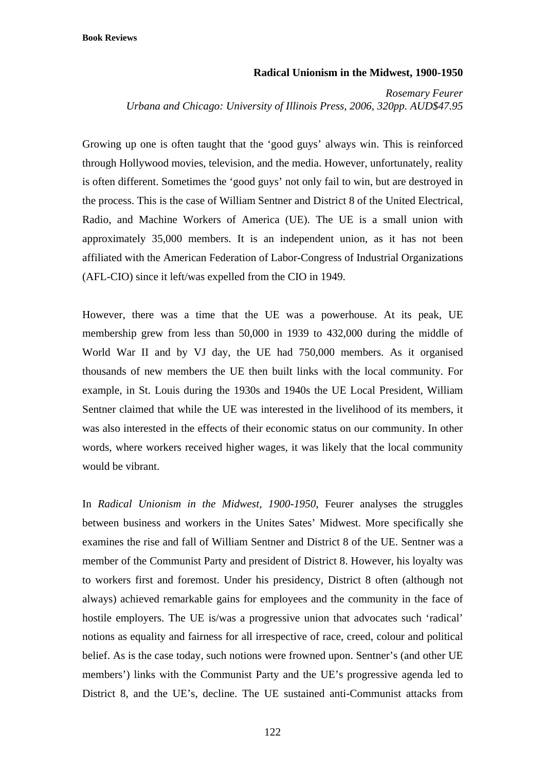## **Radical Unionism in the Midwest, 1900-1950**

*Rosemary Feurer Urbana and Chicago: University of Illinois Press, 2006, 320pp. AUD\$47.95* 

Growing up one is often taught that the 'good guys' always win. This is reinforced through Hollywood movies, television, and the media. However, unfortunately, reality is often different. Sometimes the 'good guys' not only fail to win, but are destroyed in the process. This is the case of William Sentner and District 8 of the United Electrical, Radio, and Machine Workers of America (UE). The UE is a small union with approximately 35,000 members. It is an independent union, as it has not been affiliated with the American Federation of Labor-Congress of Industrial Organizations (AFL-CIO) since it left/was expelled from the CIO in 1949.

However, there was a time that the UE was a powerhouse. At its peak, UE membership grew from less than 50,000 in 1939 to 432,000 during the middle of World War II and by VJ day, the UE had 750,000 members. As it organised thousands of new members the UE then built links with the local community. For example, in St. Louis during the 1930s and 1940s the UE Local President, William Sentner claimed that while the UE was interested in the livelihood of its members, it was also interested in the effects of their economic status on our community. In other words, where workers received higher wages, it was likely that the local community would be vibrant.

In *Radical Unionism in the Midwest, 1900-1950*, Feurer analyses the struggles between business and workers in the Unites Sates' Midwest. More specifically she examines the rise and fall of William Sentner and District 8 of the UE. Sentner was a member of the Communist Party and president of District 8. However, his loyalty was to workers first and foremost. Under his presidency, District 8 often (although not always) achieved remarkable gains for employees and the community in the face of hostile employers. The UE is/was a progressive union that advocates such 'radical' notions as equality and fairness for all irrespective of race, creed, colour and political belief. As is the case today, such notions were frowned upon. Sentner's (and other UE members') links with the Communist Party and the UE's progressive agenda led to District 8, and the UE's, decline. The UE sustained anti-Communist attacks from